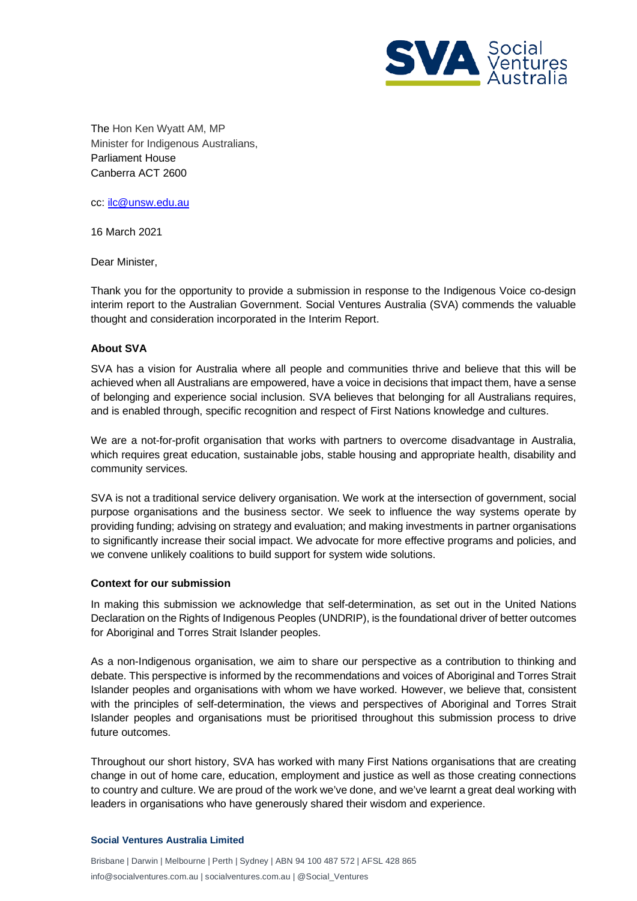

The Hon Ken Wyatt AM, MP Minister for Indigenous Australians, Parliament House Canberra ACT 2600

cc: [ilc@unsw.edu.au](mailto:ilc@unsw.edu.au)

16 March 2021

Dear Minister,

Thank you for the opportunity to provide a submission in response to the Indigenous Voice co-design interim report to the Australian Government. Social Ventures Australia (SVA) commends the valuable thought and consideration incorporated in the Interim Report.

## **About SVA**

SVA has a vision for Australia where all people and communities thrive and believe that this will be achieved when all Australians are empowered, have a voice in decisions that impact them, have a sense of belonging and experience social inclusion. SVA believes that belonging for all Australians requires, and is enabled through, specific recognition and respect of First Nations knowledge and cultures.

We are a not-for-profit organisation that works with partners to overcome disadvantage in Australia, which requires great education, sustainable jobs, stable housing and appropriate health, disability and community services.

SVA is not a traditional service delivery organisation. We work at the intersection of government, social purpose organisations and the business sector. We seek to influence the way systems operate by providing funding; advising on strategy and evaluation; and making investments in partner organisations to significantly increase their social impact. We advocate for more effective programs and policies, and we convene unlikely coalitions to build support for system wide solutions.

## **Context for our submission**

In making this submission we acknowledge that self-determination, as set out in the United Nations Declaration on the Rights of Indigenous Peoples (UNDRIP), is the foundational driver of better outcomes for Aboriginal and Torres Strait Islander peoples.

As a non-Indigenous organisation, we aim to share our perspective as a contribution to thinking and debate. This perspective is informed by the recommendations and voices of Aboriginal and Torres Strait Islander peoples and organisations with whom we have worked. However, we believe that, consistent with the principles of self-determination, the views and perspectives of Aboriginal and Torres Strait Islander peoples and organisations must be prioritised throughout this submission process to drive future outcomes.

Throughout our short history, SVA has worked with many First Nations organisations that are creating change in out of home care, education, employment and justice as well as those creating connections to country and culture. We are proud of the work we've done, and we've learnt a great deal working with leaders in organisations who have generously shared their wisdom and experience.

## **Social Ventures Australia Limited**

Brisbane | Darwin | Melbourne | Perth | Sydney | ABN 94 100 487 572 | AFSL 428 865 info@socialventures.com.au | socialventures.com.au | @Social\_Ventures